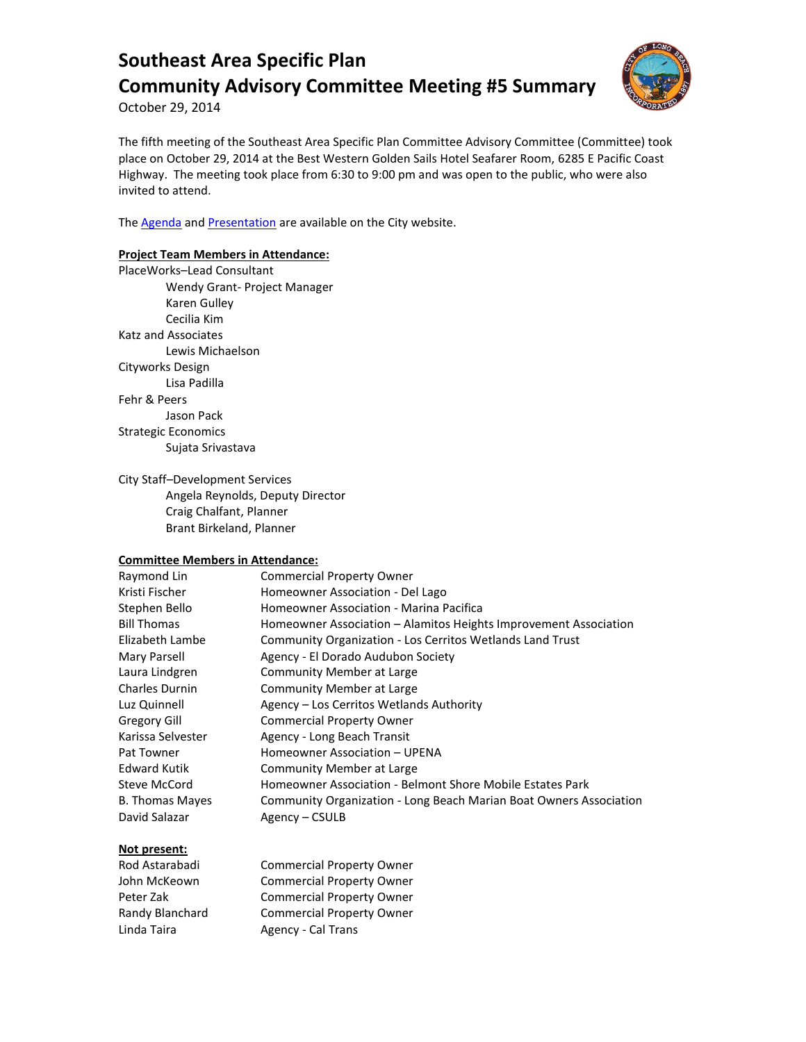

October 29, 2014

The fifth meeting of the Southeast Area Specific Plan Committee Advisory Committee (Committee) took place on October 29, 2014 at the Best Western Golden Sails Hotel Seafarer Room, 6285 E Pacific Coast Highway. The meeting took place from 6:30 to 9:00 pm and was open to the public, who were also invited to attend.

The **Agenda** and **Presentation** are available on the City website.

### **Project Team Members in Attendance:**

PlaceWorks–Lead Consultant Wendy Grant- Project Manager Karen Gulley Cecilia Kim Katz and Associates Lewis Michaelson Cityworks Design Lisa Padilla Fehr & Peers Jason Pack Strategic Economics Sujata Srivastava

#### City Staff–Development Services

Angela Reynolds, Deputy Director Craig Chalfant, Planner Brant Birkeland, Planner

### **Committee Members in Attendance:**

| Raymond Lin            | <b>Commercial Property Owner</b>                                   |
|------------------------|--------------------------------------------------------------------|
| Kristi Fischer         | Homeowner Association - Del Lago                                   |
| Stephen Bello          | Homeowner Association - Marina Pacifica                            |
| <b>Bill Thomas</b>     | Homeowner Association – Alamitos Heights Improvement Association   |
| Elizabeth Lambe        | Community Organization - Los Cerritos Wetlands Land Trust          |
| Mary Parsell           | Agency - El Dorado Audubon Society                                 |
| Laura Lindgren         | Community Member at Large                                          |
| <b>Charles Durnin</b>  | Community Member at Large                                          |
| Luz Quinnell           | Agency – Los Cerritos Wetlands Authority                           |
| Gregory Gill           | <b>Commercial Property Owner</b>                                   |
| Karissa Selvester      | Agency - Long Beach Transit                                        |
| Pat Towner             | Homeowner Association - UPENA                                      |
| <b>Edward Kutik</b>    | Community Member at Large                                          |
| Steve McCord           | Homeowner Association - Belmont Shore Mobile Estates Park          |
| <b>B. Thomas Mayes</b> | Community Organization - Long Beach Marian Boat Owners Association |
| David Salazar          | Agency - CSULB                                                     |

### **Not present:**

| Rod Astarabadi  | <b>Commercial Property Owner</b> |
|-----------------|----------------------------------|
| John McKeown    | <b>Commercial Property Owner</b> |
| Peter Zak       | <b>Commercial Property Owner</b> |
| Randy Blanchard | <b>Commercial Property Owner</b> |
| Linda Taira     | Agency - Cal Trans               |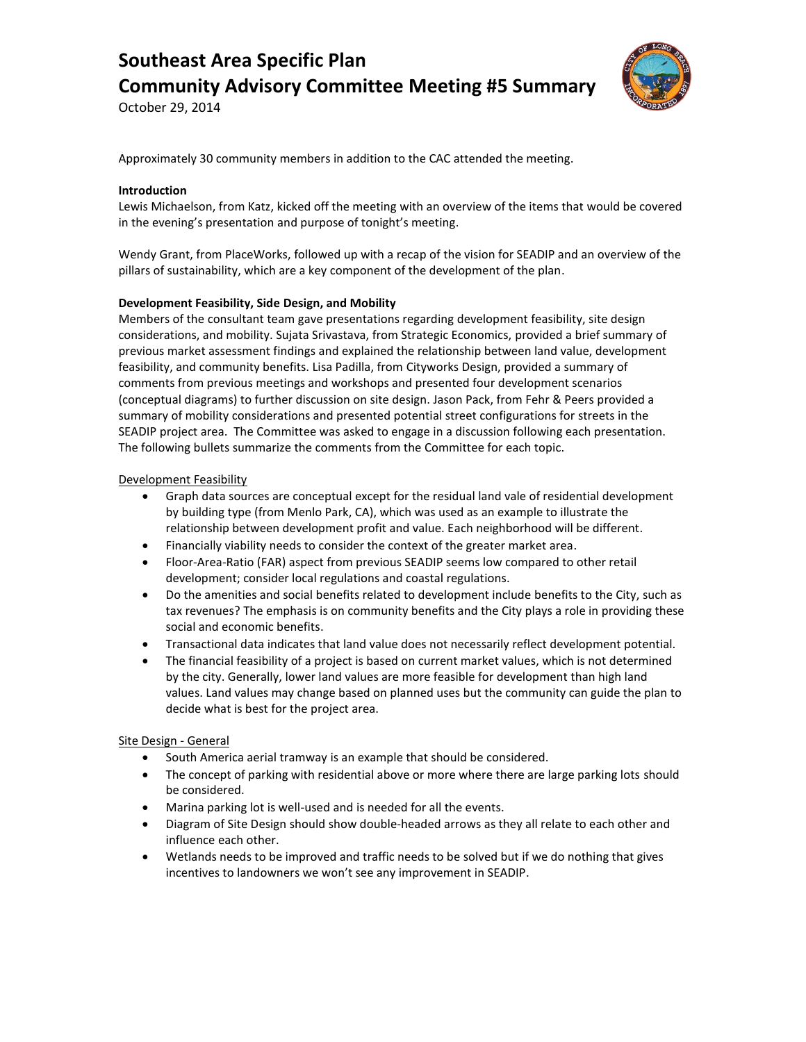

October 29, 2014

Approximately 30 community members in addition to the CAC attended the meeting.

#### **Introduction**

Lewis Michaelson, from Katz, kicked off the meeting with an overview of the items that would be covered in the evening's presentation and purpose of tonight's meeting.

Wendy Grant, from PlaceWorks, followed up with a recap of the vision for SEADIP and an overview of the pillars of sustainability, which are a key component of the development of the plan.

### **Development Feasibility, Side Design, and Mobility**

Members of the consultant team gave presentations regarding development feasibility, site design considerations, and mobility. Sujata Srivastava, from Strategic Economics, provided a brief summary of previous market assessment findings and explained the relationship between land value, development feasibility, and community benefits. Lisa Padilla, from Cityworks Design, provided a summary of comments from previous meetings and workshops and presented four development scenarios (conceptual diagrams) to further discussion on site design. Jason Pack, from Fehr & Peers provided a summary of mobility considerations and presented potential street configurations for streets in the SEADIP project area. The Committee was asked to engage in a discussion following each presentation. The following bullets summarize the comments from the Committee for each topic.

#### Development Feasibility

- Graph data sources are conceptual except for the residual land vale of residential development by building type (from Menlo Park, CA), which was used as an example to illustrate the relationship between development profit and value. Each neighborhood will be different.
- Financially viability needs to consider the context of the greater market area.
- Floor-Area-Ratio (FAR) aspect from previous SEADIP seems low compared to other retail development; consider local regulations and coastal regulations.
- Do the amenities and social benefits related to development include benefits to the City, such as tax revenues? The emphasis is on community benefits and the City plays a role in providing these social and economic benefits.
- Transactional data indicates that land value does not necessarily reflect development potential.
- The financial feasibility of a project is based on current market values, which is not determined by the city. Generally, lower land values are more feasible for development than high land values. Land values may change based on planned uses but the community can guide the plan to decide what is best for the project area.

#### Site Design - General

- South America aerial tramway is an example that should be considered.
- The concept of parking with residential above or more where there are large parking lots should be considered.
- Marina parking lot is well-used and is needed for all the events.
- Diagram of Site Design should show double-headed arrows as they all relate to each other and influence each other.
- Wetlands needs to be improved and traffic needs to be solved but if we do nothing that gives incentives to landowners we won't see any improvement in SEADIP.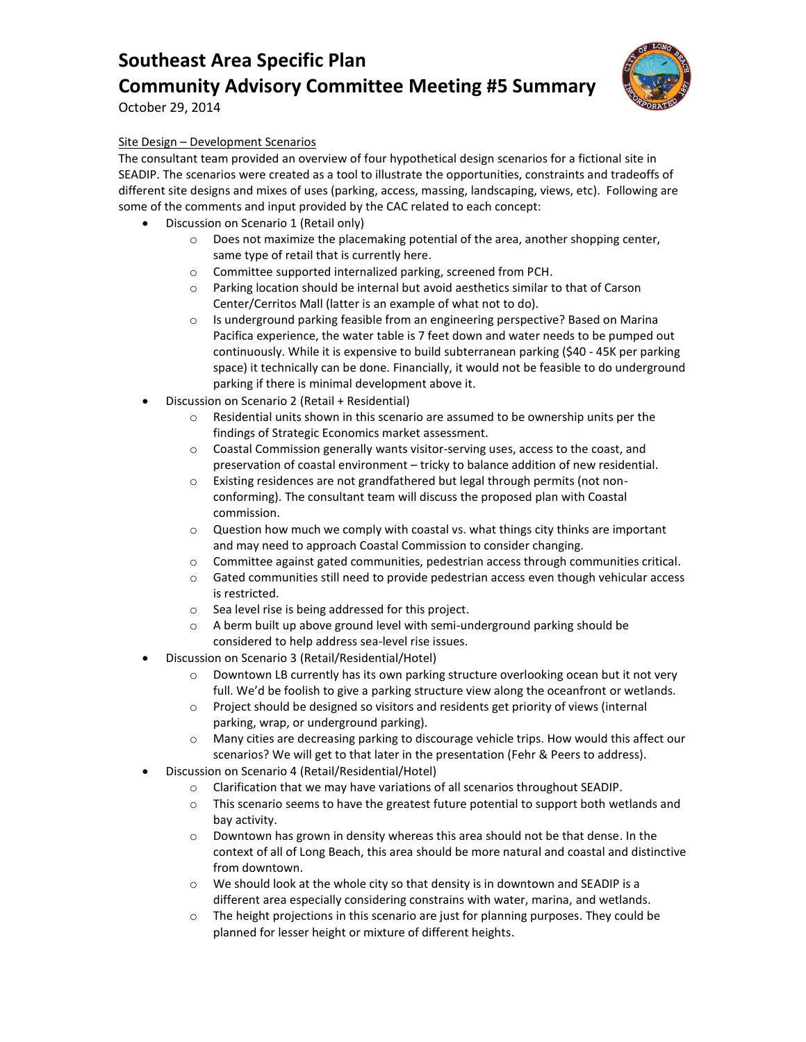

October 29, 2014

## Site Design – Development Scenarios

The consultant team provided an overview of four hypothetical design scenarios for a fictional site in SEADIP. The scenarios were created as a tool to illustrate the opportunities, constraints and tradeoffs of different site designs and mixes of uses (parking, access, massing, landscaping, views, etc). Following are some of the comments and input provided by the CAC related to each concept:

- Discussion on Scenario 1 (Retail only)
	- o Does not maximize the placemaking potential of the area, another shopping center, same type of retail that is currently here.
	- o Committee supported internalized parking, screened from PCH.
	- $\circ$  Parking location should be internal but avoid aesthetics similar to that of Carson Center/Cerritos Mall (latter is an example of what not to do).
	- o Is underground parking feasible from an engineering perspective? Based on Marina Pacifica experience, the water table is 7 feet down and water needs to be pumped out continuously. While it is expensive to build subterranean parking (\$40 - 45K per parking space) it technically can be done. Financially, it would not be feasible to do underground parking if there is minimal development above it.
- Discussion on Scenario 2 (Retail + Residential)
	- $\circ$  Residential units shown in this scenario are assumed to be ownership units per the findings of Strategic Economics market assessment.
	- o Coastal Commission generally wants visitor-serving uses, access to the coast, and preservation of coastal environment – tricky to balance addition of new residential.
	- o Existing residences are not grandfathered but legal through permits (not nonconforming). The consultant team will discuss the proposed plan with Coastal commission.
	- o Question how much we comply with coastal vs. what things city thinks are important and may need to approach Coastal Commission to consider changing.
	- o Committee against gated communities, pedestrian access through communities critical.
	- o Gated communities still need to provide pedestrian access even though vehicular access is restricted.
	- o Sea level rise is being addressed for this project.
	- $\circ$  A berm built up above ground level with semi-underground parking should be considered to help address sea-level rise issues.
- Discussion on Scenario 3 (Retail/Residential/Hotel)
	- $\circ$  Downtown LB currently has its own parking structure overlooking ocean but it not very full. We'd be foolish to give a parking structure view along the oceanfront or wetlands.
	- o Project should be designed so visitors and residents get priority of views (internal parking, wrap, or underground parking).
	- o Many cities are decreasing parking to discourage vehicle trips. How would this affect our scenarios? We will get to that later in the presentation (Fehr & Peers to address).
- Discussion on Scenario 4 (Retail/Residential/Hotel)
	- o Clarification that we may have variations of all scenarios throughout SEADIP.
	- o This scenario seems to have the greatest future potential to support both wetlands and bay activity.
	- $\circ$  Downtown has grown in density whereas this area should not be that dense. In the context of all of Long Beach, this area should be more natural and coastal and distinctive from downtown.
	- o We should look at the whole city so that density is in downtown and SEADIP is a different area especially considering constrains with water, marina, and wetlands.
	- $\circ$  The height projections in this scenario are just for planning purposes. They could be planned for lesser height or mixture of different heights.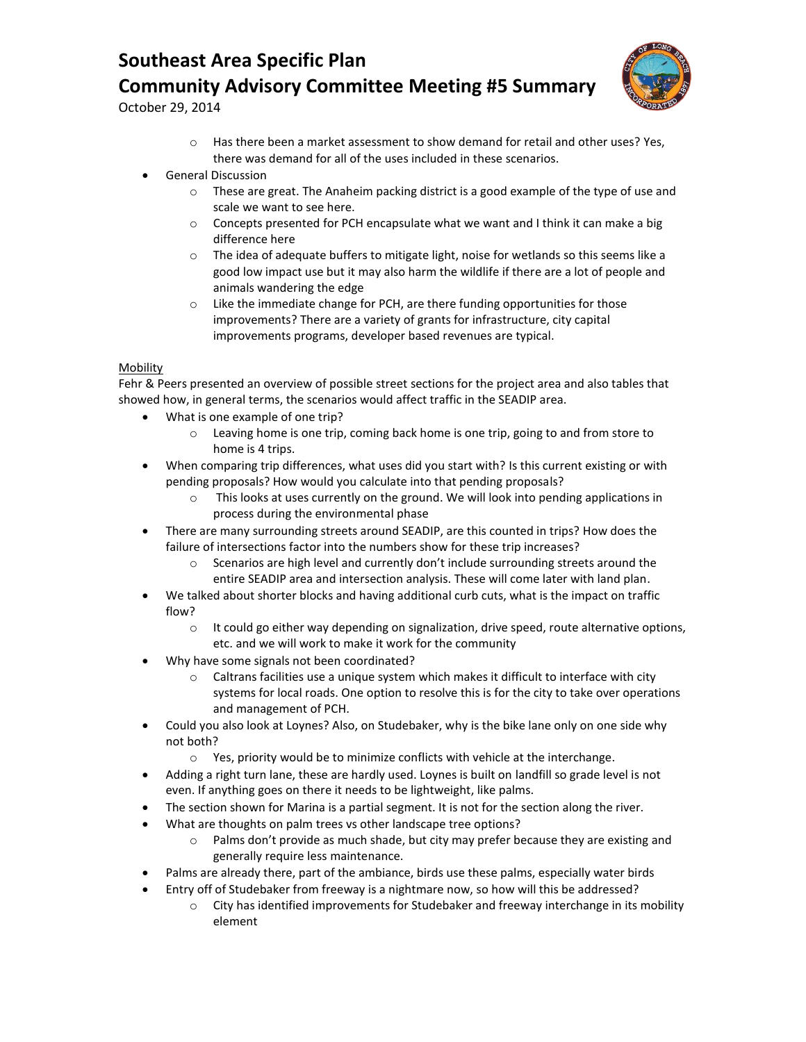

October 29, 2014

- $\circ$  Has there been a market assessment to show demand for retail and other uses? Yes, there was demand for all of the uses included in these scenarios.
- General Discussion
	- $\circ$  These are great. The Anaheim packing district is a good example of the type of use and scale we want to see here.
	- o Concepts presented for PCH encapsulate what we want and I think it can make a big difference here
	- $\circ$  The idea of adequate buffers to mitigate light, noise for wetlands so this seems like a good low impact use but it may also harm the wildlife if there are a lot of people and animals wandering the edge
	- o Like the immediate change for PCH, are there funding opportunities for those improvements? There are a variety of grants for infrastructure, city capital improvements programs, developer based revenues are typical.

### **Mobility**

Fehr & Peers presented an overview of possible street sections for the project area and also tables that showed how, in general terms, the scenarios would affect traffic in the SEADIP area.

- What is one example of one trip?
	- o Leaving home is one trip, coming back home is one trip, going to and from store to home is 4 trips.
- When comparing trip differences, what uses did you start with? Is this current existing or with pending proposals? How would you calculate into that pending proposals?
	- o This looks at uses currently on the ground. We will look into pending applications in process during the environmental phase
- There are many surrounding streets around SEADIP, are this counted in trips? How does the failure of intersections factor into the numbers show for these trip increases?
	- $\circ$  Scenarios are high level and currently don't include surrounding streets around the entire SEADIP area and intersection analysis. These will come later with land plan.
- We talked about shorter blocks and having additional curb cuts, what is the impact on traffic flow?
	- $\circ$  It could go either way depending on signalization, drive speed, route alternative options, etc. and we will work to make it work for the community
- Why have some signals not been coordinated?
	- Caltrans facilities use a unique system which makes it difficult to interface with city systems for local roads. One option to resolve this is for the city to take over operations and management of PCH.
- Could you also look at Loynes? Also, on Studebaker, why is the bike lane only on one side why not both?
	- o Yes, priority would be to minimize conflicts with vehicle at the interchange.
- Adding a right turn lane, these are hardly used. Loynes is built on landfill so grade level is not even. If anything goes on there it needs to be lightweight, like palms.
- The section shown for Marina is a partial segment. It is not for the section along the river.
- What are thoughts on palm trees vs other landscape tree options?
	- o Palms don't provide as much shade, but city may prefer because they are existing and generally require less maintenance.
- Palms are already there, part of the ambiance, birds use these palms, especially water birds
- Entry off of Studebaker from freeway is a nightmare now, so how will this be addressed?
	- o City has identified improvements for Studebaker and freeway interchange in its mobility element